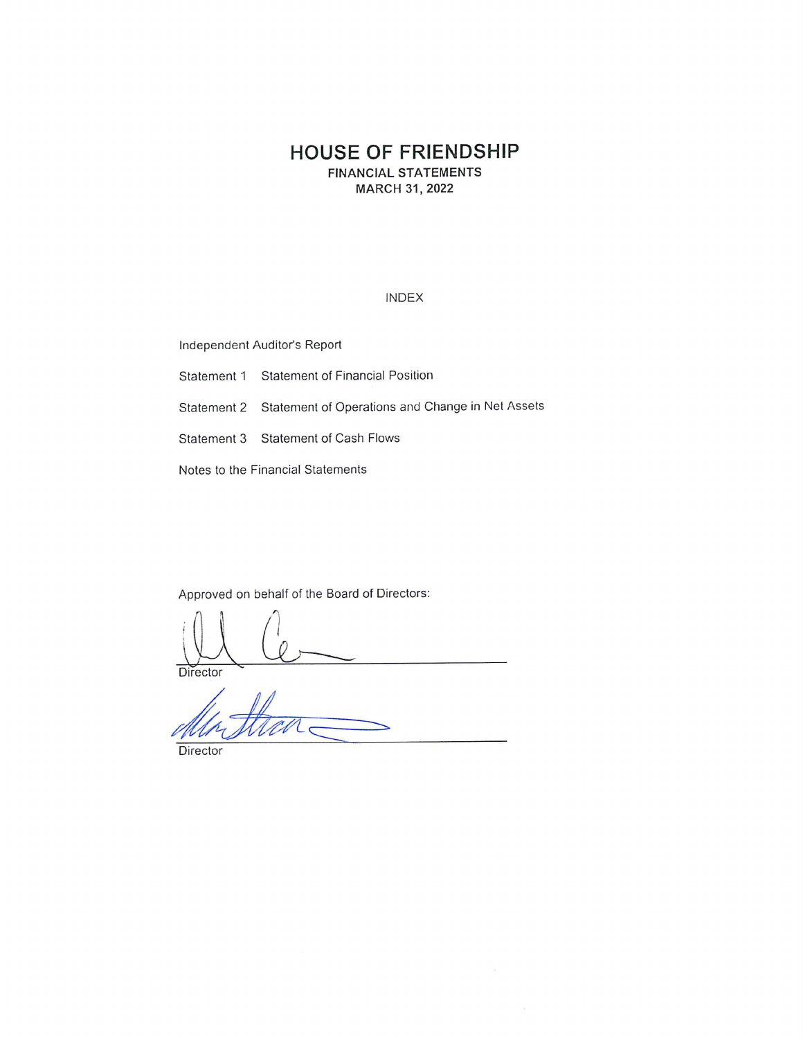# **HOUSE OF FRIENDSHIP FINANCIAL STATEMENTS** MARCH 31, 2022

#### **INDEX**

Independent Auditor's Report

- Statement 1 Statement of Financial Position
- Statement 2 Statement of Operations and Change in Net Assets
- Statement 3 Statement of Cash Flows

Notes to the Financial Statements

Approved on behalf of the Board of Directors:

Director

Director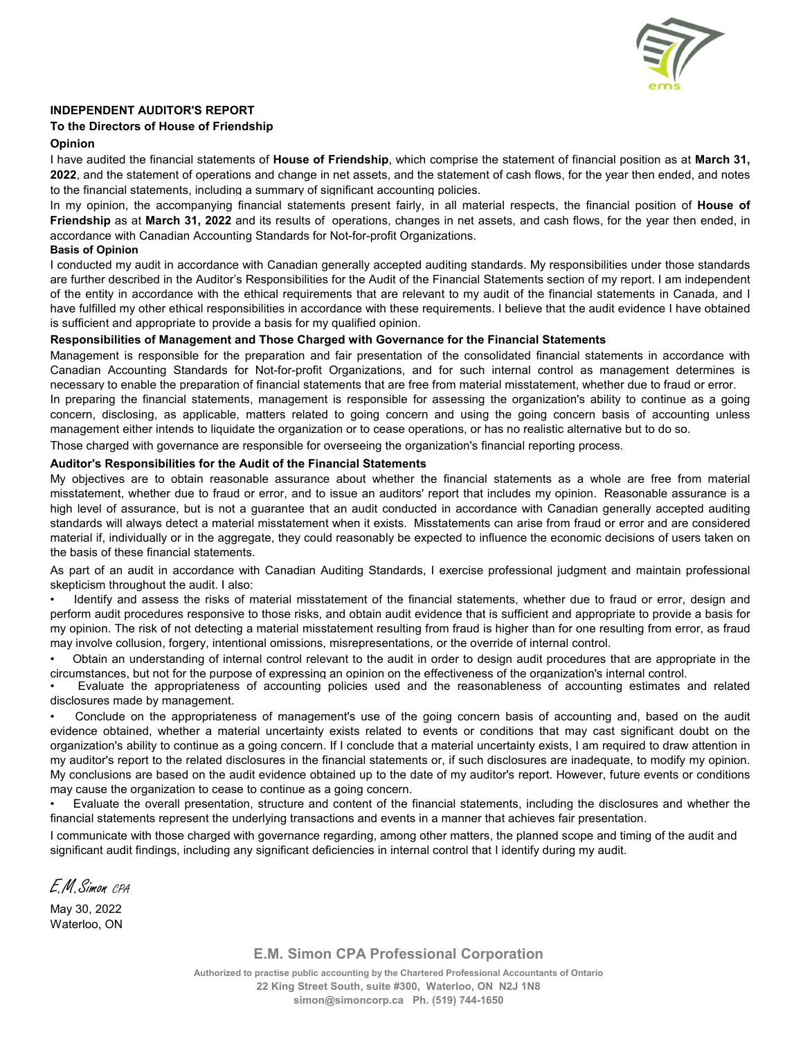

#### **INDEPENDENT AUDITOR'S REPORT**

# **To the Directors of House of Friendship**

#### **Opinion**

I have audited the financial statements of **House of Friendship**, which comprise the statement of financial position as at **March 31, 2022**, and the statement of operations and change in net assets, and the statement of cash flows, for the year then ended, and notes to the financial statements, including a summary of significant accounting policies.

In my opinion, the accompanying financial statements present fairly, in all material respects, the financial position of **House of Friendship** as at **March 31, 2022** and its results of operations, changes in net assets, and cash flows, for the year then ended, in accordance with Canadian Accounting Standards for Not-for-profit Organizations.

#### **Basis of Opinion**

I conducted my audit in accordance with Canadian generally accepted auditing standards. My responsibilities under those standards are further described in the Auditor's Responsibilities for the Audit of the Financial Statements section of my report. I am independent of the entity in accordance with the ethical requirements that are relevant to my audit of the financial statements in Canada, and I have fulfilled my other ethical responsibilities in accordance with these requirements. I believe that the audit evidence I have obtained is sufficient and appropriate to provide a basis for my qualified opinion.

## **Responsibilities of Management and Those Charged with Governance for the Financial Statements**

Management is responsible for the preparation and fair presentation of the consolidated financial statements in accordance with Canadian Accounting Standards for Not-for-profit Organizations, and for such internal control as management determines is necessary to enable the preparation of financial statements that are free from material misstatement, whether due to fraud or error.

In preparing the financial statements, management is responsible for assessing the organization's ability to continue as a going concern, disclosing, as applicable, matters related to going concern and using the going concern basis of accounting unless management either intends to liquidate the organization or to cease operations, or has no realistic alternative but to do so.

Those charged with governance are responsible for overseeing the organization's financial reporting process.

#### **Auditor's Responsibilities for the Audit of the Financial Statements**

My objectives are to obtain reasonable assurance about whether the financial statements as a whole are free from material misstatement, whether due to fraud or error, and to issue an auditors' report that includes my opinion. Reasonable assurance is a high level of assurance, but is not a guarantee that an audit conducted in accordance with Canadian generally accepted auditing standards will always detect a material misstatement when it exists. Misstatements can arise from fraud or error and are considered material if, individually or in the aggregate, they could reasonably be expected to influence the economic decisions of users taken on the basis of these financial statements.

As part of an audit in accordance with Canadian Auditing Standards, I exercise professional judgment and maintain professional skepticism throughout the audit. I also:

• Identify and assess the risks of material misstatement of the financial statements, whether due to fraud or error, design and perform audit procedures responsive to those risks, and obtain audit evidence that is sufficient and appropriate to provide a basis for my opinion. The risk of not detecting a material misstatement resulting from fraud is higher than for one resulting from error, as fraud may involve collusion, forgery, intentional omissions, misrepresentations, or the override of internal control.

• Obtain an understanding of internal control relevant to the audit in order to design audit procedures that are appropriate in the circumstances, but not for the purpose of expressing an opinion on the effectiveness of the organization's internal control.

• Evaluate the appropriateness of accounting policies used and the reasonableness of accounting estimates and related disclosures made by management.

• Conclude on the appropriateness of management's use of the going concern basis of accounting and, based on the audit evidence obtained, whether a material uncertainty exists related to events or conditions that may cast significant doubt on the organization's ability to continue as a going concern. If I conclude that a material uncertainty exists, I am required to draw attention in my auditor's report to the related disclosures in the financial statements or, if such disclosures are inadequate, to modify my opinion. My conclusions are based on the audit evidence obtained up to the date of my auditor's report. However, future events or conditions may cause the organization to cease to continue as a going concern.

• Evaluate the overall presentation, structure and content of the financial statements, including the disclosures and whether the financial statements represent the underlying transactions and events in a manner that achieves fair presentation.

I communicate with those charged with governance regarding, among other matters, the planned scope and timing of the audit and significant audit findings, including any significant deficiencies in internal control that I identify during my audit.

E.M.Simon CPA

May 30, 2022 Waterloo, ON

**E.M. Simon CPA Professional Corporation**

**Authorized to practise public accounting by the Chartered Professional Accountants of Ontario 22 King Street South, suite #300, Waterloo, ON N2J 1N8 simon@simoncorp.ca Ph. (519) 744-1650**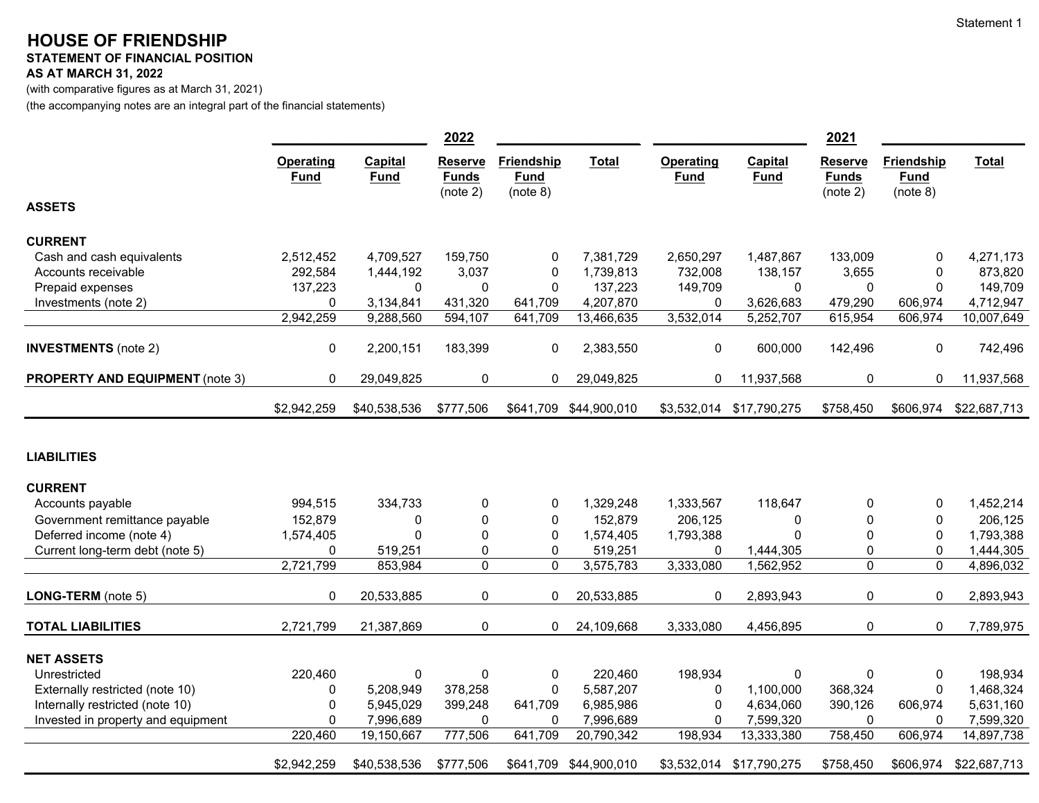## **HOUSE OF FRIENDSHIP STATEMENT OF FINANCIAL POSITION AS AT MARCH 31, 2022**

(with comparative figures as at March 31, 2021)

(the accompanying notes are an integral part of the financial statements)

|                                        |                                 |                               | 2022                                |                                              |              |                                 |                               | 2021                                       |                                              |              |
|----------------------------------------|---------------------------------|-------------------------------|-------------------------------------|----------------------------------------------|--------------|---------------------------------|-------------------------------|--------------------------------------------|----------------------------------------------|--------------|
|                                        | <b>Operating</b><br><b>Fund</b> | <b>Capital</b><br><b>Fund</b> | Reserve<br><b>Funds</b><br>(note 2) | <b>Friendship</b><br><b>Fund</b><br>(note 8) | <b>Total</b> | <b>Operating</b><br><b>Fund</b> | <b>Capital</b><br><b>Fund</b> | <b>Reserve</b><br><b>Funds</b><br>(note 2) | <b>Friendship</b><br><b>Fund</b><br>(note 8) | <b>Total</b> |
| <b>ASSETS</b>                          |                                 |                               |                                     |                                              |              |                                 |                               |                                            |                                              |              |
| <b>CURRENT</b>                         |                                 |                               |                                     |                                              |              |                                 |                               |                                            |                                              |              |
| Cash and cash equivalents              | 2,512,452                       | 4,709,527                     | 159,750                             | 0                                            | 7,381,729    | 2,650,297                       | 1,487,867                     | 133,009                                    | 0                                            | 4,271,173    |
| Accounts receivable                    | 292,584                         | 1,444,192                     | 3,037                               | $\mathbf 0$                                  | 1,739,813    | 732,008                         | 138,157                       | 3,655                                      | 0                                            | 873,820      |
| Prepaid expenses                       | 137,223                         | 0                             | 0                                   | 0                                            | 137,223      | 149,709                         | $\mathbf{0}$                  | $\Omega$                                   | $\Omega$                                     | 149,709      |
| Investments (note 2)                   | $\Omega$                        | 3,134,841                     | 431,320                             | 641,709                                      | 4,207,870    | $\Omega$                        | 3,626,683                     | 479,290                                    | 606,974                                      | 4,712,947    |
|                                        | 2,942,259                       | 9,288,560                     | 594,107                             | 641,709                                      | 13,466,635   | 3,532,014                       | 5,252,707                     | 615,954                                    | 606,974                                      | 10,007,649   |
| <b>INVESTMENTS</b> (note 2)            | 0                               | 2,200,151                     | 183,399                             | $\mathbf 0$                                  | 2,383,550    | 0                               | 600,000                       | 142,496                                    | 0                                            | 742,496      |
| <b>PROPERTY AND EQUIPMENT</b> (note 3) | 0                               | 29,049,825                    | 0                                   | 0                                            | 29,049,825   | 0                               | 11,937,568                    | $\mathbf 0$                                | 0                                            | 11,937,568   |
|                                        | \$2,942,259                     | \$40,538,536                  | \$777,506                           | \$641,709                                    | \$44,900,010 | \$3,532,014                     | \$17,790,275                  | \$758,450                                  | \$606,974                                    | \$22,687,713 |
| <b>LIABILITIES</b>                     |                                 |                               |                                     |                                              |              |                                 |                               |                                            |                                              |              |
| <b>CURRENT</b>                         |                                 |                               |                                     |                                              |              |                                 |                               |                                            |                                              |              |
| Accounts payable                       | 994,515                         | 334,733                       | 0                                   | $\mathbf 0$                                  | 1,329,248    | 1,333,567                       | 118,647                       | 0                                          | 0                                            | 1,452,214    |
| Government remittance payable          | 152,879                         | 0                             | 0                                   | 0                                            | 152,879      | 206,125                         | 0                             | 0                                          | 0                                            | 206,125      |
| Deferred income (note 4)               | 1,574,405                       | 0                             | 0                                   | $\pmb{0}$                                    | 1,574,405    | 1,793,388                       | $\Omega$                      | $\Omega$                                   | 0                                            | 1,793,388    |
| Current long-term debt (note 5)        | 0                               | 519,251                       | 0                                   | 0                                            | 519,251      | 0                               | 1,444,305                     | $\Omega$                                   | 0                                            | 1,444,305    |
|                                        | 2,721,799                       | 853,984                       | 0                                   | $\Omega$                                     | 3,575,783    | 3,333,080                       | 1,562,952                     | $\mathbf 0$                                | $\overline{0}$                               | 4,896,032    |
| LONG-TERM (note 5)                     | 0                               | 20,533,885                    | 0                                   | 0                                            | 20,533,885   | 0                               | 2,893,943                     | 0                                          | 0                                            | 2,893,943    |
| <b>TOTAL LIABILITIES</b>               | 2,721,799                       | 21,387,869                    | 0                                   | 0                                            | 24,109,668   | 3,333,080                       | 4,456,895                     | 0                                          | 0                                            | 7,789,975    |
| <b>NET ASSETS</b>                      |                                 |                               |                                     |                                              |              |                                 |                               |                                            |                                              |              |
| Unrestricted                           | 220,460                         | 0                             | 0                                   | 0                                            | 220,460      | 198,934                         | $\mathbf 0$                   | $\mathbf{0}$                               | 0                                            | 198,934      |
| Externally restricted (note 10)        | 0                               | 5,208,949                     | 378,258                             | $\mathbf 0$                                  | 5,587,207    | $\mathbf 0$                     | 1,100,000                     | 368,324                                    | $\mathbf 0$                                  | 1,468,324    |
| Internally restricted (note 10)        | 0                               | 5,945,029                     | 399,248                             | 641,709                                      | 6,985,986    | $\mathbf 0$                     | 4,634,060                     | 390,126                                    | 606,974                                      | 5,631,160    |
| Invested in property and equipment     | $\mathbf{0}$                    | 7,996,689                     | 0                                   | $\Omega$                                     | 7,996,689    | $\Omega$                        | 7,599,320                     | $\mathbf{0}$                               | 0                                            | 7,599,320    |
|                                        | 220,460                         | 19,150,667                    | 777,506                             | 641,709                                      | 20,790,342   | 198,934                         | 13,333,380                    | 758,450                                    | 606,974                                      | 14,897,738   |
|                                        | \$2,942,259                     | \$40,538,536                  | \$777,506                           | \$641,709                                    | \$44,900,010 | \$3,532,014                     | \$17,790,275                  | \$758,450                                  | \$606,974                                    | \$22,687,713 |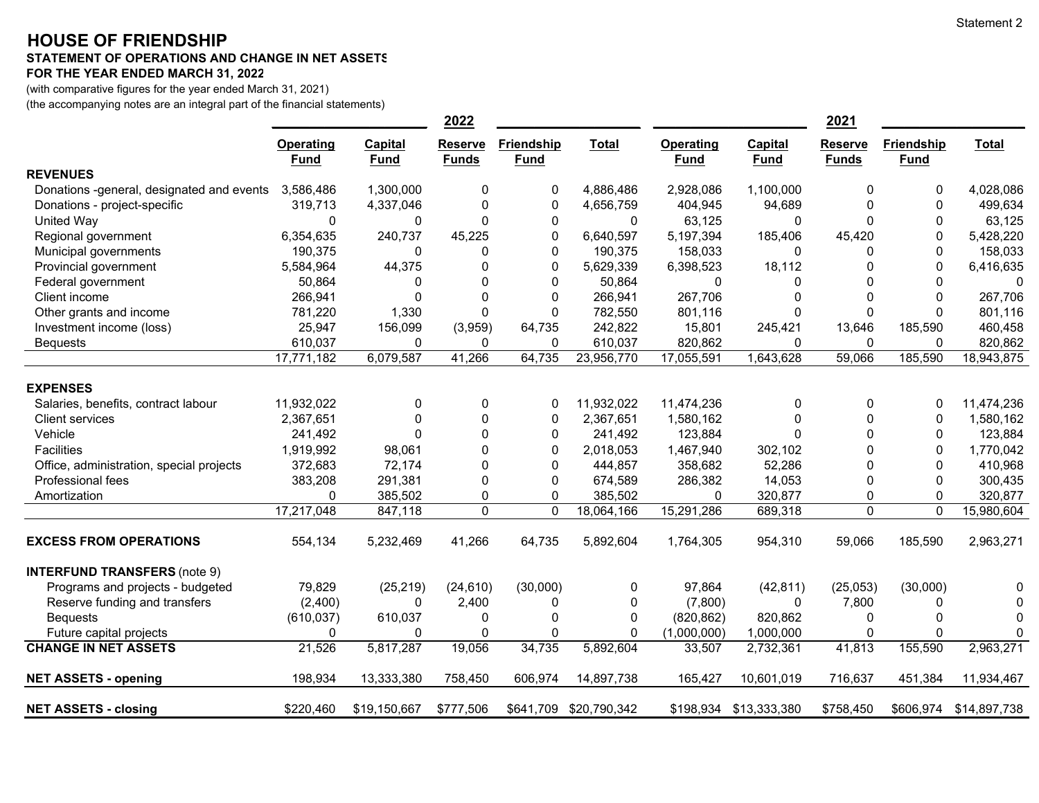# **HOUSE OF FRIENDSHIP**

#### **STATEMENT OF OPERATIONS AND CHANGE IN NET ASSETS FOR THE YEAR ENDED MARCH 31, 2022**

(with comparative figures for the year ended March 31, 2021)

(the accompanying notes are an integral part of the financial statements)

|                                           |                          |                        | 2022                           |                    |              |                   |                        | 2021                           |                    |                        |
|-------------------------------------------|--------------------------|------------------------|--------------------------------|--------------------|--------------|-------------------|------------------------|--------------------------------|--------------------|------------------------|
|                                           | <b>Operating</b><br>Fund | Capital<br><b>Fund</b> | <b>Reserve</b><br><b>Funds</b> | Friendship<br>Fund | <b>Total</b> | Operating<br>Fund | Capital<br><b>Fund</b> | <b>Reserve</b><br><b>Funds</b> | Friendship<br>Fund | <b>Total</b>           |
| <b>REVENUES</b>                           |                          |                        |                                |                    |              |                   |                        |                                |                    |                        |
| Donations -general, designated and events | 3,586,486                | 1,300,000              | $\mathbf{0}$                   | 0                  | 4,886,486    | 2,928,086         | 1,100,000              | $\mathbf{0}$                   | 0                  | 4,028,086              |
| Donations - project-specific              | 319,713                  | 4,337,046              | 0                              | $\mathbf{0}$       | 4,656,759    | 404,945           | 94,689                 | 0                              | 0                  | 499,634                |
| <b>United Way</b>                         | 0                        | 0                      | $\mathbf{0}$                   | 0                  | 0            | 63,125            | $\mathbf{0}$           | 0                              | 0                  | 63,125                 |
| Regional government                       | 6,354,635                | 240,737                | 45,225                         | 0                  | 6,640,597    | 5,197,394         | 185,406                | 45,420                         | 0                  | 5,428,220              |
| Municipal governments                     | 190,375                  | 0                      | 0                              | 0                  | 190,375      | 158,033           | $\mathbf{0}$           | 0                              | 0                  | 158,033                |
| Provincial government                     | 5,584,964                | 44,375                 | 0                              | 0                  | 5,629,339    | 6,398,523         | 18,112                 | 0                              | 0                  | 6,416,635              |
| Federal government                        | 50,864                   | 0                      | $\mathbf{0}$                   | 0                  | 50,864       | $\mathbf{0}$      | 0                      | 0                              | 0                  | $\mathbf{0}$           |
| Client income                             | 266,941                  | 0                      | $\mathbf{0}$                   | $\mathbf{0}$       | 266,941      | 267,706           | 0                      | $\Omega$                       | 0                  | 267,706                |
| Other grants and income                   | 781,220                  | 1,330                  | $\mathbf{0}$                   | $\mathbf{0}$       | 782,550      | 801,116           | 0                      | $\Omega$                       | 0                  | 801,116                |
| Investment income (loss)                  | 25,947                   | 156,099                | (3,959)                        | 64,735             | 242,822      | 15,801            | 245,421                | 13,646                         | 185,590            | 460,458                |
| <b>Bequests</b>                           | 610,037                  | 0                      | 0                              | $\mathbf{0}$       | 610,037      | 820,862           | 0                      | 0                              | 0                  | 820,862                |
|                                           | 17,771,182               | 6,079,587              | 41,266                         | 64,735             | 23,956,770   | 17,055,591        | 1,643,628              | 59,066                         | 185,590            | 18,943,875             |
| <b>EXPENSES</b>                           |                          |                        |                                |                    |              |                   |                        |                                |                    |                        |
| Salaries, benefits, contract labour       | 11,932,022               | 0                      | 0                              | 0                  | 11,932,022   | 11,474,236        | 0                      | 0                              | 0                  | 11,474,236             |
| <b>Client services</b>                    | 2,367,651                | 0                      | $\mathbf{0}$                   | 0                  | 2,367,651    | 1,580,162         | $\mathbf{0}$           | 0                              | 0                  | 1,580,162              |
| Vehicle                                   | 241,492                  | 0                      | $\Omega$                       | $\mathbf{0}$       | 241,492      | 123,884           | 0                      | $\Omega$                       | 0                  | 123,884                |
| <b>Facilities</b>                         | 1,919,992                | 98,061                 | 0                              | $\mathbf{0}$       | 2,018,053    | 1,467,940         | 302,102                | $\Omega$                       | 0                  | 1,770,042              |
| Office, administration, special projects  | 372,683                  | 72,174                 | 0                              | $\mathbf{0}$       | 444.857      | 358,682           | 52,286                 | ∩                              | 0                  | 410,968                |
| Professional fees                         | 383,208                  | 291,381                | 0                              | $\mathbf{0}$       | 674,589      | 286,382           | 14,053                 | $\Omega$                       | 0                  | 300,435                |
| Amortization                              | $\Omega$                 | 385,502                | 0                              | 0                  | 385,502      | 0                 | 320,877                | $\Omega$                       | 0                  | 320,877                |
|                                           | 17,217,048               | 847,118                | $\overline{0}$                 | $\mathbf{0}$       | 18,064,166   | 15,291,286        | 689,318                | $\mathbf{0}$                   | $\Omega$           | 15,980,604             |
| <b>EXCESS FROM OPERATIONS</b>             | 554,134                  | 5,232,469              | 41,266                         | 64,735             | 5,892,604    | 1,764,305         | 954,310                | 59,066                         | 185,590            | 2,963,271              |
| <b>INTERFUND TRANSFERS (note 9)</b>       |                          |                        |                                |                    |              |                   |                        |                                |                    |                        |
| Programs and projects - budgeted          | 79,829                   | (25, 219)              | (24, 610)                      | (30,000)           | 0            | 97,864            | (42, 811)              | (25,053)                       | (30,000)           | 0                      |
| Reserve funding and transfers             | (2,400)                  | $\Omega$               | 2,400                          | 0                  | 0            | (7,800)           | $\Omega$               | 7,800                          | 0                  | 0                      |
| <b>Bequests</b>                           | (610, 037)               | 610,037                | 0                              | 0                  | 0            | (820, 862)        | 820,862                | $\Omega$                       | 0                  | $\Omega$               |
| Future capital projects                   | 0                        | 0                      | $\mathbf{0}$                   | 0                  | $\mathbf{0}$ | (1,000,000)       | 1,000,000              | 0                              | 0                  | 0                      |
| <b>CHANGE IN NET ASSETS</b>               | 21,526                   | 5,817,287              | 19,056                         | 34,735             | 5,892,604    | 33,507            | 2,732,361              | 41,813                         | 155,590            | 2,963,271              |
| <b>NET ASSETS - opening</b>               | 198,934                  | 13,333,380             | 758,450                        | 606,974            | 14,897,738   | 165,427           | 10,601,019             | 716,637                        | 451,384            | 11,934,467             |
| <b>NET ASSETS - closing</b>               | \$220,460                | \$19,150,667           | \$777,506                      | \$641,709          | \$20,790,342 | \$198.934         | \$13,333,380           | \$758,450                      |                    | \$606,974 \$14,897,738 |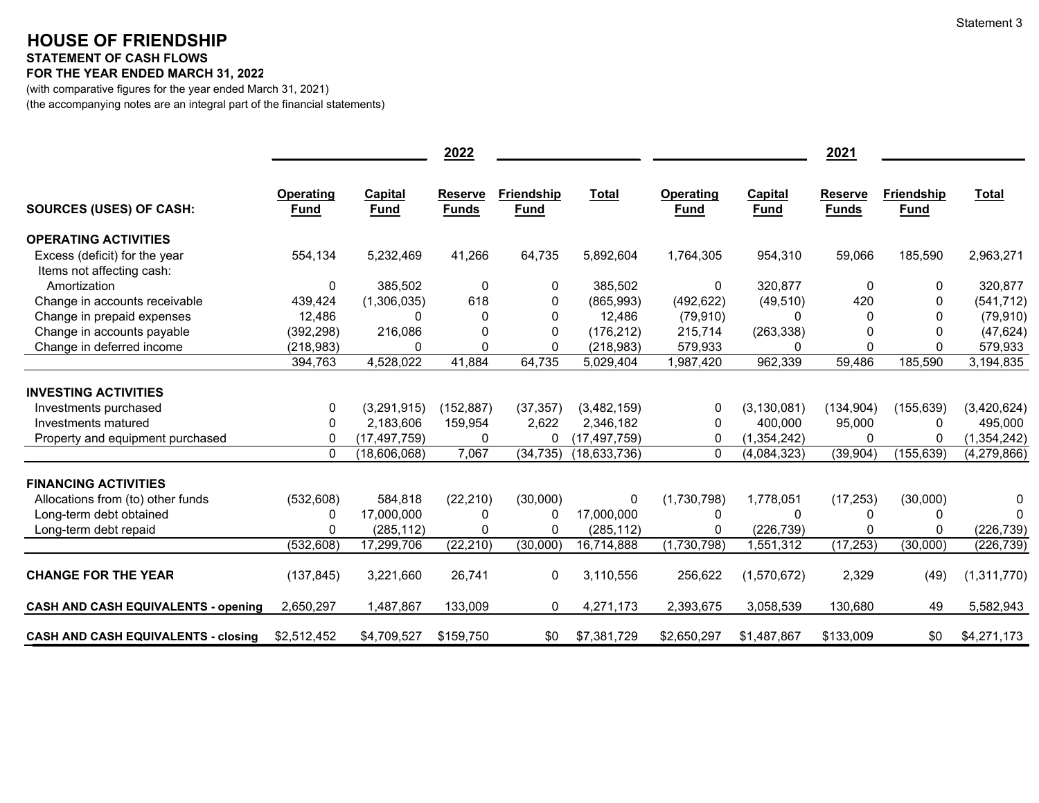## **HOUSE OF FRIENDSHIP STATEMENT OF CASH FLOWS FOR THE YEAR ENDED MARCH 31, 2022**

(with comparative figures for the year ended March 31, 2021) (the accompanying notes are an integral part of the financial statements)

|                                                            |                                 |                               | <u> 2022 </u>                  |                           |                |                          |                               | <u> 2021 </u>                  |                                  |               |
|------------------------------------------------------------|---------------------------------|-------------------------------|--------------------------------|---------------------------|----------------|--------------------------|-------------------------------|--------------------------------|----------------------------------|---------------|
| <b>SOURCES (USES) OF CASH:</b>                             | <b>Operating</b><br><b>Fund</b> | <b>Capital</b><br><b>Fund</b> | <b>Reserve</b><br><b>Funds</b> | Friendship<br><b>Fund</b> | <b>Total</b>   | Operating<br><b>Fund</b> | <b>Capital</b><br><b>Fund</b> | <b>Reserve</b><br><b>Funds</b> | <b>Friendship</b><br><b>Fund</b> | <b>Total</b>  |
| <b>OPERATING ACTIVITIES</b>                                |                                 |                               |                                |                           |                |                          |                               |                                |                                  |               |
| Excess (deficit) for the year<br>Items not affecting cash: | 554,134                         | 5,232,469                     | 41,266                         | 64,735                    | 5,892,604      | 1,764,305                | 954,310                       | 59,066                         | 185,590                          | 2,963,271     |
| Amortization                                               | 0                               | 385,502                       | 0                              | 0                         | 385,502        | 0                        | 320,877                       | $\mathbf{0}$                   | 0                                | 320,877       |
| Change in accounts receivable                              | 439,424                         | (1,306,035)                   | 618                            | 0                         | (865, 993)     | (492, 622)               | (49, 510)                     | 420                            | 0                                | (541, 712)    |
| Change in prepaid expenses                                 | 12,486                          |                               | <sup>0</sup>                   | 0                         | 12,486         | (79, 910)                | <sup>0</sup>                  | 0                              | 0                                | (79, 910)     |
| Change in accounts payable                                 | (392, 298)                      | 216,086                       | 0                              | $\Omega$                  | (176, 212)     | 215,714                  | (263, 338)                    | n                              | 0                                | (47, 624)     |
| Change in deferred income                                  | (218, 983)                      | 0                             | 0                              | ∩                         | (218, 983)     | 579,933                  | 0                             | $\Omega$                       | $\Omega$                         | 579,933       |
|                                                            | 394,763                         | 4,528,022                     | 41,884                         | 64,735                    | 5,029,404      | 1,987,420                | 962,339                       | 59,486                         | 185,590                          | 3,194,835     |
| <b>INVESTING ACTIVITIES</b>                                |                                 |                               |                                |                           |                |                          |                               |                                |                                  |               |
| Investments purchased                                      | 0                               | (3,291,915)                   | (152, 887)                     | (37, 357)                 | (3,482,159)    | 0                        | (3, 130, 081)                 | (134, 904)                     | (155, 639)                       | (3,420,624)   |
| Investments matured                                        | 0                               | 2,183,606                     | 159,954                        | 2,622                     | 2,346,182      | 0                        | 400.000                       | 95,000                         | 0                                | 495,000       |
| Property and equipment purchased                           | 0                               | (17, 497, 759)                | 0                              | $\Omega$                  | (17, 497, 759) |                          | (1, 354, 242)                 | 0                              | 0                                | (1, 354, 242) |
|                                                            | $\Omega$                        | (18,606,068)                  | 7,067                          | (34, 735)                 | (18, 633, 736) | $\Omega$                 | (4,084,323)                   | (39, 904)                      | (155, 639)                       | (4, 279, 866) |
| <b>FINANCING ACTIVITIES</b>                                |                                 |                               |                                |                           |                |                          |                               |                                |                                  |               |
| Allocations from (to) other funds                          | (532,608)                       | 584,818                       | (22, 210)                      | (30,000)                  | $\mathbf{0}$   | (1,730,798)              | 1,778,051                     | (17, 253)                      | (30,000)                         | 0             |
| Long-term debt obtained                                    | 0                               | 17,000,000                    | 0                              | 0                         | 17,000,000     | 0                        | $\Omega$                      | 0                              | 0                                | $\Omega$      |
| Long-term debt repaid                                      | 0                               | (285, 112)                    | 0                              | $\Omega$                  | (285, 112)     |                          | (226, 739)                    | 0                              | 0                                | (226, 739)    |
|                                                            | (532, 608)                      | 17,299,706                    | (22, 210)                      | (30,000)                  | 16,714,888     | (1,730,798)              | 1,551,312                     | (17, 253)                      | (30,000)                         | (226, 739)    |
| <b>CHANGE FOR THE YEAR</b>                                 | (137, 845)                      | 3,221,660                     | 26,741                         | 0                         | 3,110,556      | 256,622                  | (1,570,672)                   | 2,329                          | (49)                             | (1,311,770)   |
| <b>CASH AND CASH EQUIVALENTS - opening</b>                 | 2,650,297                       | 1,487,867                     | 133,009                        | $\Omega$                  | 4,271,173      | 2,393,675                | 3,058,539                     | 130,680                        | 49                               | 5,582,943     |
| <b>CASH AND CASH EQUIVALENTS - closing</b>                 | \$2,512,452                     | \$4,709,527                   | \$159,750                      | \$0                       | \$7,381,729    | \$2,650,297              | \$1,487,867                   | \$133,009                      | \$0                              | \$4,271,173   |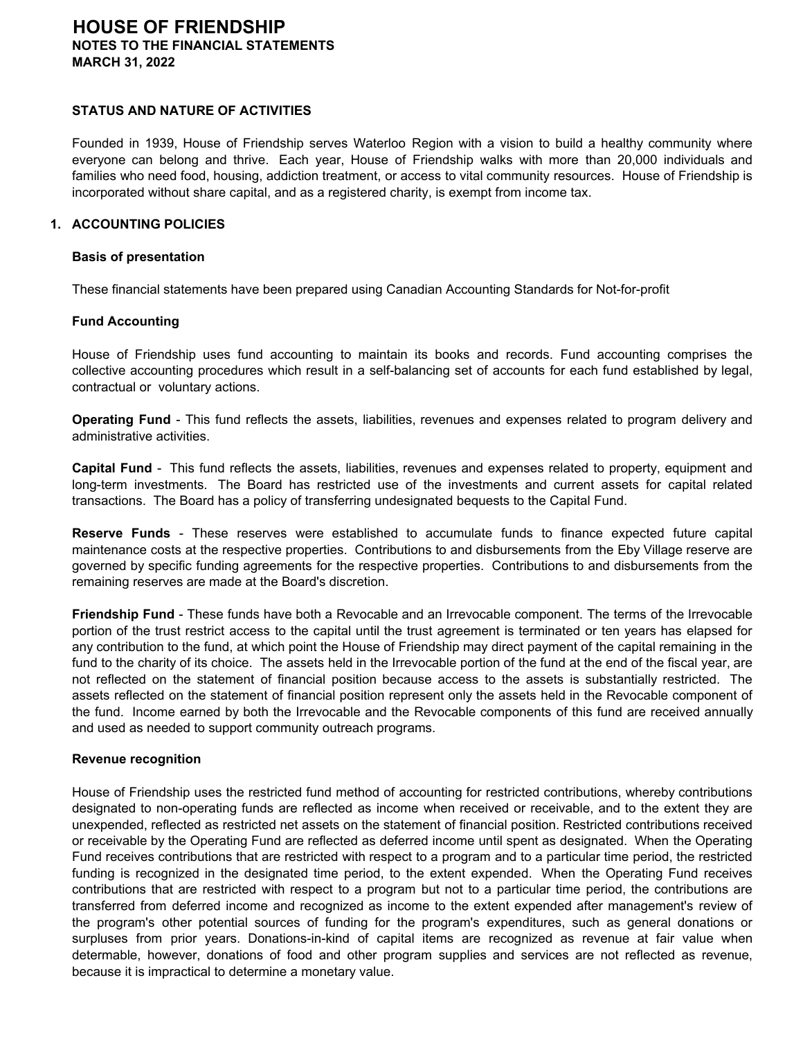#### **STATUS AND NATURE OF ACTIVITIES**

Founded in 1939, House of Friendship serves Waterloo Region with a vision to build a healthy community where everyone can belong and thrive. Each year, House of Friendship walks with more than 20,000 individuals and families who need food, housing, addiction treatment, or access to vital community resources. House of Friendship is incorporated without share capital, and as a registered charity, is exempt from income tax.

## **1. ACCOUNTING POLICIES**

#### **Basis of presentation**

These financial statements have been prepared using Canadian Accounting Standards for Not-for-profit

#### **Fund Accounting**

House of Friendship uses fund accounting to maintain its books and records. Fund accounting comprises the collective accounting procedures which result in a self-balancing set of accounts for each fund established by legal, contractual or voluntary actions.

**Operating Fund** - This fund reflects the assets, liabilities, revenues and expenses related to program delivery and administrative activities.

**Capital Fund** - This fund reflects the assets, liabilities, revenues and expenses related to property, equipment and long-term investments. The Board has restricted use of the investments and current assets for capital related transactions. The Board has a policy of transferring undesignated bequests to the Capital Fund.

**Reserve Funds** - These reserves were established to accumulate funds to finance expected future capital maintenance costs at the respective properties. Contributions to and disbursements from the Eby Village reserve are governed by specific funding agreements for the respective properties. Contributions to and disbursements from the remaining reserves are made at the Board's discretion.

**Friendship Fund** - These funds have both a Revocable and an Irrevocable component. The terms of the Irrevocable portion of the trust restrict access to the capital until the trust agreement is terminated or ten years has elapsed for any contribution to the fund, at which point the House of Friendship may direct payment of the capital remaining in the fund to the charity of its choice. The assets held in the Irrevocable portion of the fund at the end of the fiscal year, are not reflected on the statement of financial position because access to the assets is substantially restricted. The assets reflected on the statement of financial position represent only the assets held in the Revocable component of the fund. Income earned by both the Irrevocable and the Revocable components of this fund are received annually and used as needed to support community outreach programs.

#### **Revenue recognition**

House of Friendship uses the restricted fund method of accounting for restricted contributions, whereby contributions designated to non-operating funds are reflected as income when received or receivable, and to the extent they are unexpended, reflected as restricted net assets on the statement of financial position. Restricted contributions received or receivable by the Operating Fund are reflected as deferred income until spent as designated. When the Operating Fund receives contributions that are restricted with respect to a program and to a particular time period, the restricted funding is recognized in the designated time period, to the extent expended. When the Operating Fund receives contributions that are restricted with respect to a program but not to a particular time period, the contributions are transferred from deferred income and recognized as income to the extent expended after management's review of the program's other potential sources of funding for the program's expenditures, such as general donations or surpluses from prior years. Donations-in-kind of capital items are recognized as revenue at fair value when determable, however, donations of food and other program supplies and services are not reflected as revenue, because it is impractical to determine a monetary value.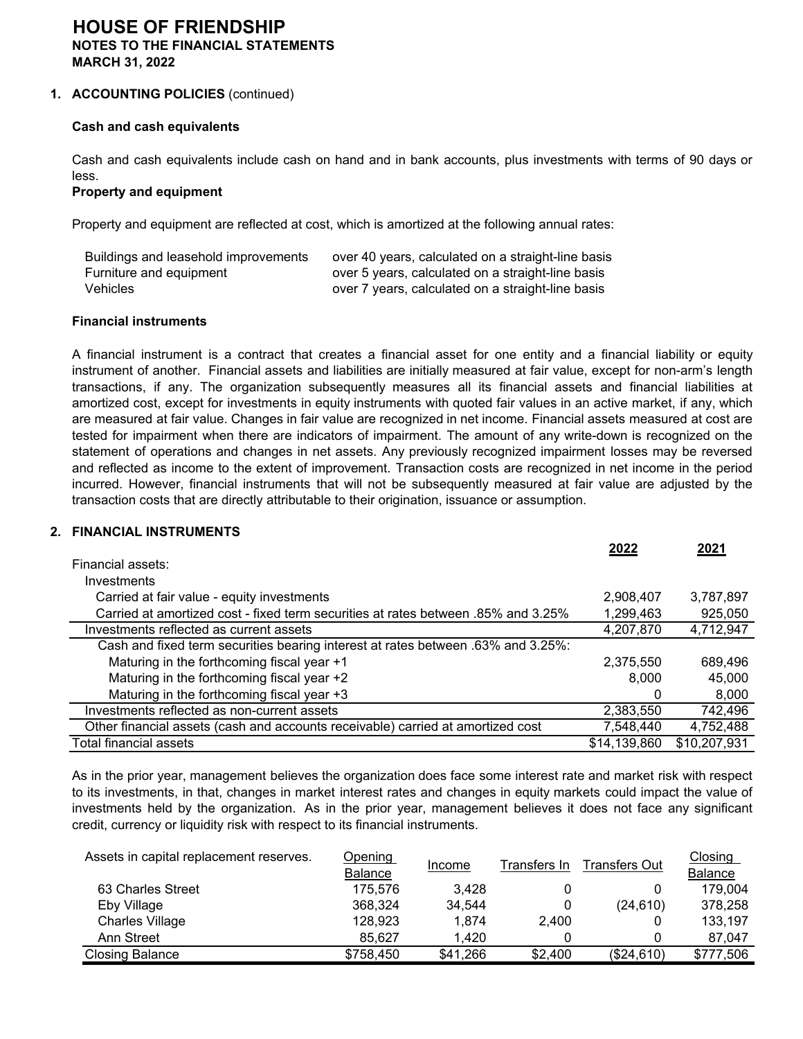## **1. ACCOUNTING POLICIES** (continued)

### **Cash and cash equivalents**

Cash and cash equivalents include cash on hand and in bank accounts, plus investments with terms of 90 days or less.

## **Property and equipment**

Property and equipment are reflected at cost, which is amortized at the following annual rates:

| Buildings and leasehold improvements | over 40 years, calculated on a straight-line basis |
|--------------------------------------|----------------------------------------------------|
| Furniture and equipment              | over 5 years, calculated on a straight-line basis  |
| Vehicles                             | over 7 years, calculated on a straight-line basis  |

## **Financial instruments**

A financial instrument is a contract that creates a financial asset for one entity and a financial liability or equity instrument of another. Financial assets and liabilities are initially measured at fair value, except for non-arm's length transactions, if any. The organization subsequently measures all its financial assets and financial liabilities at amortized cost, except for investments in equity instruments with quoted fair values in an active market, if any, which are measured at fair value. Changes in fair value are recognized in net income. Financial assets measured at cost are tested for impairment when there are indicators of impairment. The amount of any write-down is recognized on the statement of operations and changes in net assets. Any previously recognized impairment losses may be reversed and reflected as income to the extent of improvement. Transaction costs are recognized in net income in the period incurred. However, financial instruments that will not be subsequently measured at fair value are adjusted by the transaction costs that are directly attributable to their origination, issuance or assumption.

#### **2. FINANCIAL INSTRUMENTS**

|                                                                                   | 2022         | 2021         |
|-----------------------------------------------------------------------------------|--------------|--------------|
| Financial assets:                                                                 |              |              |
| Investments                                                                       |              |              |
| Carried at fair value - equity investments                                        | 2,908,407    | 3,787,897    |
| Carried at amortized cost - fixed term securities at rates between .85% and 3.25% | 1,299,463    | 925,050      |
| Investments reflected as current assets                                           | 4,207,870    | 4,712,947    |
| Cash and fixed term securities bearing interest at rates between .63% and 3.25%:  |              |              |
| Maturing in the forthcoming fiscal year +1                                        | 2,375,550    | 689,496      |
| Maturing in the forthcoming fiscal year +2                                        | 8.000        | 45.000       |
| Maturing in the forthcoming fiscal year +3                                        | 0            | 8,000        |
| Investments reflected as non-current assets                                       | 2,383,550    | 742,496      |
| Other financial assets (cash and accounts receivable) carried at amortized cost   | 7,548,440    | 4,752,488    |
| Total financial assets                                                            | \$14,139,860 | \$10,207,931 |

As in the prior year, management believes the organization does face some interest rate and market risk with respect to its investments, in that, changes in market interest rates and changes in equity markets could impact the value of investments held by the organization. As in the prior year, management believes it does not face any significant credit, currency or liquidity risk with respect to its financial instruments.

| Assets in capital replacement reserves. | Opening<br>Balance | Income   | Transfers In | Transfers Out | Closing<br><b>Balance</b> |
|-----------------------------------------|--------------------|----------|--------------|---------------|---------------------------|
| 63 Charles Street                       | 175.576            | 3.428    |              |               | 179.004                   |
| Eby Village                             | 368,324            | 34,544   |              | (24, 610)     | 378,258                   |
| <b>Charles Village</b>                  | 128.923            | 1.874    | 2.400        |               | 133.197                   |
| Ann Street                              | 85.627             | 1.420    |              |               | 87.047                    |
| <b>Closing Balance</b>                  | \$758.450          | \$41,266 | \$2.400      | (\$24,610)    | \$777,506                 |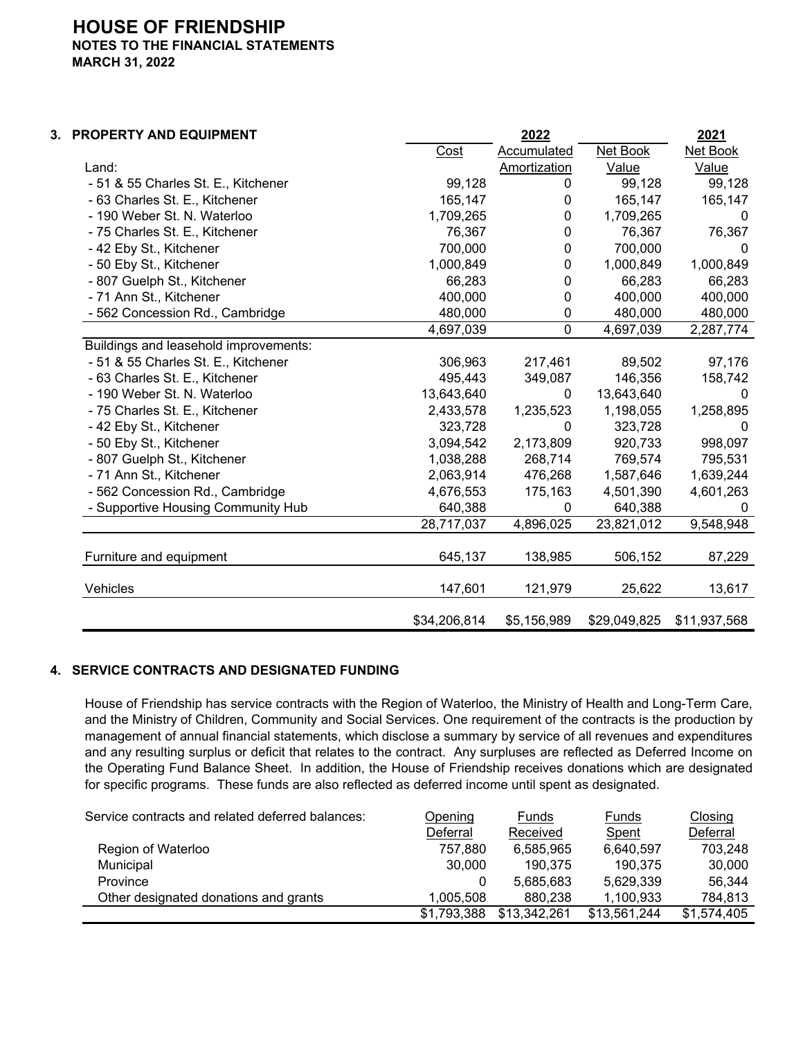| <b>3. PROPERTY AND EQUIPMENT</b>      |              | 2022           |              |                 |  |
|---------------------------------------|--------------|----------------|--------------|-----------------|--|
|                                       | Cost         | Accumulated    | Net Book     | <b>Net Book</b> |  |
| Land:                                 |              | Amortization   | Value        | Value           |  |
| - 51 & 55 Charles St. E., Kitchener   | 99,128       | 0              | 99,128       | 99,128          |  |
| - 63 Charles St. E., Kitchener        | 165,147      | 0              | 165,147      | 165,147         |  |
| - 190 Weber St. N. Waterloo           | 1,709,265    | 0              | 1,709,265    | 0               |  |
| - 75 Charles St. E., Kitchener        | 76,367       | 0              | 76,367       | 76,367          |  |
| - 42 Eby St., Kitchener               | 700,000      | 0              | 700,000      | $\mathbf{0}$    |  |
| - 50 Eby St., Kitchener               | 1,000,849    | 0              | 1,000,849    | 1,000,849       |  |
| - 807 Guelph St., Kitchener           | 66,283       | 0              | 66,283       | 66,283          |  |
| - 71 Ann St., Kitchener               | 400,000      | 0              | 400,000      | 400,000         |  |
| - 562 Concession Rd., Cambridge       | 480,000      | 0              | 480,000      | 480,000         |  |
|                                       | 4,697,039    | $\overline{0}$ | 4,697,039    | 2,287,774       |  |
| Buildings and leasehold improvements: |              |                |              |                 |  |
| - 51 & 55 Charles St. E., Kitchener   | 306,963      | 217,461        | 89,502       | 97,176          |  |
| - 63 Charles St. E., Kitchener        | 495,443      | 349,087        | 146,356      | 158,742         |  |
| - 190 Weber St. N. Waterloo           | 13,643,640   | 0              | 13,643,640   | 0               |  |
| - 75 Charles St. E., Kitchener        | 2,433,578    | 1,235,523      | 1,198,055    | 1,258,895       |  |
| - 42 Eby St., Kitchener               | 323,728      | 0              | 323,728      | $\mathbf{0}$    |  |
| - 50 Eby St., Kitchener               | 3,094,542    | 2,173,809      | 920,733      | 998,097         |  |
| - 807 Guelph St., Kitchener           | 1,038,288    | 268,714        | 769,574      | 795,531         |  |
| - 71 Ann St., Kitchener               | 2,063,914    | 476,268        | 1,587,646    | 1,639,244       |  |
| - 562 Concession Rd., Cambridge       | 4,676,553    | 175,163        | 4,501,390    | 4,601,263       |  |
| - Supportive Housing Community Hub    | 640,388      | $\mathbf{0}$   | 640,388      | 0               |  |
|                                       | 28,717,037   | 4,896,025      | 23,821,012   | 9,548,948       |  |
| Furniture and equipment               | 645,137      | 138,985        | 506,152      | 87,229          |  |
| Vehicles                              | 147,601      | 121,979        | 25,622       | 13,617          |  |
|                                       | \$34,206,814 | \$5,156,989    | \$29,049,825 | \$11,937,568    |  |

## **4. SERVICE CONTRACTS AND DESIGNATED FUNDING**

House of Friendship has service contracts with the Region of Waterloo, the Ministry of Health and Long-Term Care, and the Ministry of Children, Community and Social Services. One requirement of the contracts is the production by management of annual financial statements, which disclose a summary by service of all revenues and expenditures and any resulting surplus or deficit that relates to the contract. Any surpluses are reflected as Deferred Income on the Operating Fund Balance Sheet. In addition, the House of Friendship receives donations which are designated for specific programs. These funds are also reflected as deferred income until spent as designated.

| Service contracts and related deferred balances: | Opening     | Funds        | Funds        | Closing     |
|--------------------------------------------------|-------------|--------------|--------------|-------------|
|                                                  | Deferral    | Received     | Spent        | Deferral    |
| Region of Waterloo                               | 757.880     | 6,585,965    | 6,640,597    | 703,248     |
| Municipal                                        | 30,000      | 190.375      | 190.375      | 30,000      |
| Province                                         | 0           | 5.685.683    | 5.629.339    | 56.344      |
| Other designated donations and grants            | 1.005.508   | 880.238      | 1.100.933    | 784,813     |
|                                                  | \$1,793,388 | \$13,342,261 | \$13,561,244 | \$1,574,405 |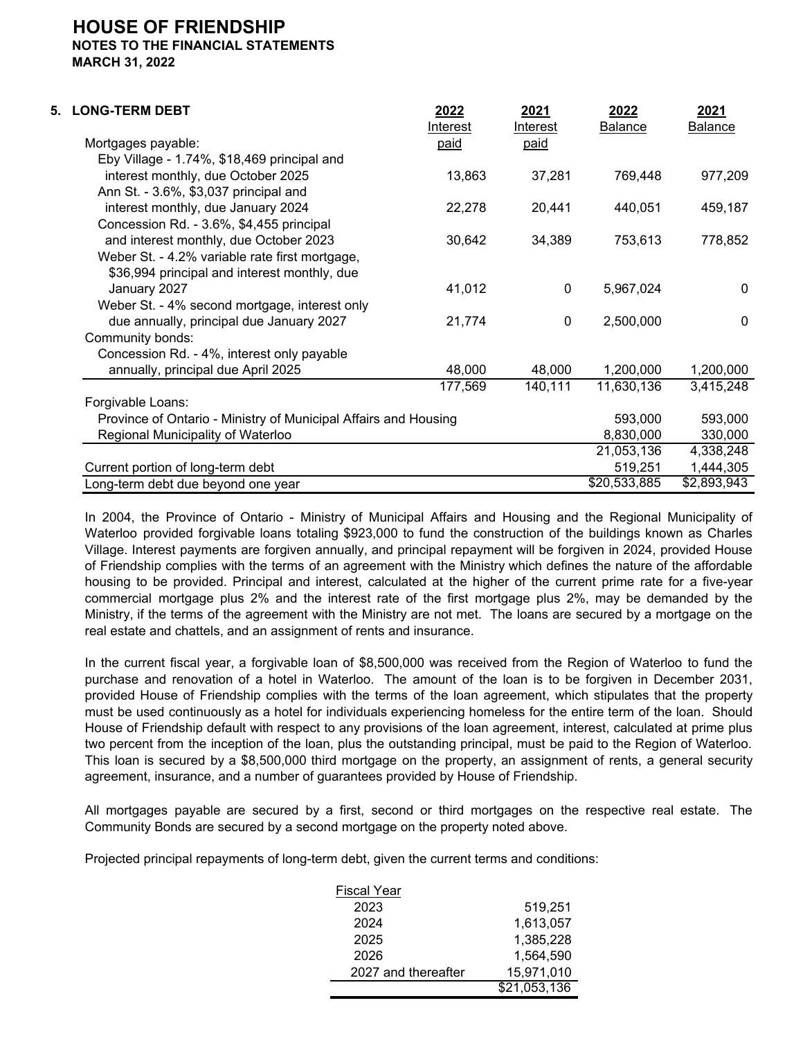| 5. LONG-TERM DEBT                                               | 2022     | 2021        | 2022         | 2021           |
|-----------------------------------------------------------------|----------|-------------|--------------|----------------|
|                                                                 | Interest | Interest    | Balance      | <b>Balance</b> |
| Mortgages payable:                                              | paid     | paid        |              |                |
| Eby Village - 1.74%, \$18,469 principal and                     |          |             |              |                |
| interest monthly, due October 2025                              | 13,863   | 37,281      | 769,448      | 977,209        |
| Ann St. - 3.6%, \$3,037 principal and                           |          |             |              |                |
| interest monthly, due January 2024                              | 22,278   | 20,441      | 440,051      | 459,187        |
| Concession Rd. - 3.6%, \$4,455 principal                        |          |             |              |                |
| and interest monthly, due October 2023                          | 30,642   | 34,389      | 753,613      | 778,852        |
| Weber St. - 4.2% variable rate first mortgage,                  |          |             |              |                |
| \$36,994 principal and interest monthly, due                    |          |             |              |                |
| January 2027                                                    | 41,012   | $\mathbf 0$ | 5,967,024    | $\mathbf{0}$   |
| Weber St. - 4% second mortgage, interest only                   |          |             |              |                |
| due annually, principal due January 2027                        | 21,774   | $\Omega$    | 2,500,000    | $\mathbf{0}$   |
| Community bonds:                                                |          |             |              |                |
| Concession Rd. - 4%, interest only payable                      |          |             |              |                |
| annually, principal due April 2025                              | 48,000   | 48,000      | 1,200,000    | 1,200,000      |
|                                                                 | 177,569  | 140,111     | 11,630,136   | 3,415,248      |
| Forgivable Loans:                                               |          |             |              |                |
| Province of Ontario - Ministry of Municipal Affairs and Housing |          |             | 593,000      | 593,000        |
| Regional Municipality of Waterloo                               |          |             | 8,830,000    | 330,000        |
|                                                                 |          |             | 21,053,136   | 4,338,248      |
| Current portion of long-term debt                               |          |             | 519,251      | 1,444,305      |
| Long-term debt due beyond one year                              |          |             | \$20,533,885 | \$2,893,943    |

In 2004, the Province of Ontario - Ministry of Municipal Affairs and Housing and the Regional Municipality of Waterloo provided forgivable loans totaling \$923,000 to fund the construction of the buildings known as Charles Village. Interest payments are forgiven annually, and principal repayment will be forgiven in 2024, provided House of Friendship complies with the terms of an agreement with the Ministry which defines the nature of the affordable housing to be provided. Principal and interest, calculated at the higher of the current prime rate for a five-year commercial mortgage plus 2% and the interest rate of the first mortgage plus 2%, may be demanded by the Ministry, if the terms of the agreement with the Ministry are not met. The loans are secured by a mortgage on the real estate and chattels, and an assignment of rents and insurance.

In the current fiscal year, a forgivable loan of \$8,500,000 was received from the Region of Waterloo to fund the purchase and renovation of a hotel in Waterloo. The amount of the loan is to be forgiven in December 2031, provided House of Friendship complies with the terms of the loan agreement, which stipulates that the property must be used continuously as a hotel for individuals experiencing homeless for the entire term of the loan. Should House of Friendship default with respect to any provisions of the loan agreement, interest, calculated at prime plus two percent from the inception of the loan, plus the outstanding principal, must be paid to the Region of Waterloo. This loan is secured by a \$8,500,000 third mortgage on the property, an assignment of rents, a general security agreement, insurance, and a number of guarantees provided by House of Friendship.

All mortgages payable are secured by a first, second or third mortgages on the respective real estate. The Community Bonds are secured by a second mortgage on the property noted above.

Projected principal repayments of long-term debt, given the current terms and conditions:

| <b>Fiscal Year</b>  |              |
|---------------------|--------------|
| 2023                | 519,251      |
| 2024                | 1,613,057    |
| 2025                | 1,385,228    |
| 2026                | 1,564,590    |
| 2027 and thereafter | 15,971,010   |
|                     | \$21,053,136 |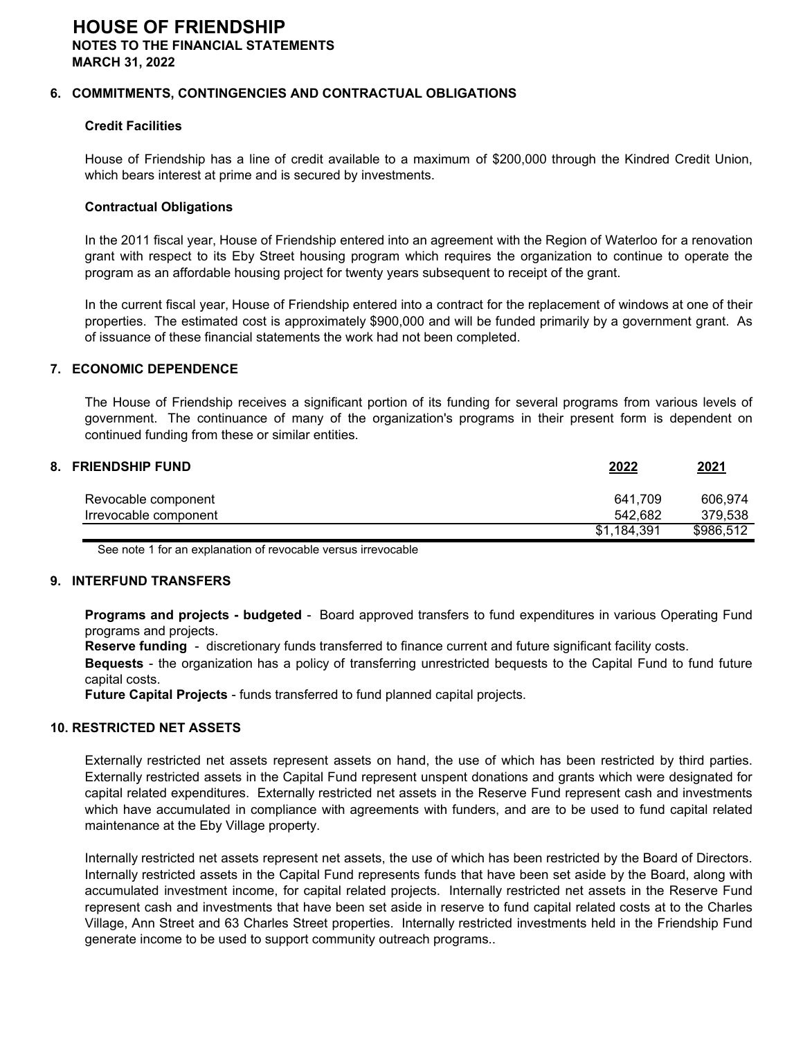## **6. COMMITMENTS, CONTINGENCIES AND CONTRACTUAL OBLIGATIONS**

## **Credit Facilities**

House of Friendship has a line of credit available to a maximum of \$200,000 through the Kindred Credit Union, which bears interest at prime and is secured by investments.

#### **Contractual Obligations**

In the 2011 fiscal year, House of Friendship entered into an agreement with the Region of Waterloo for a renovation grant with respect to its Eby Street housing program which requires the organization to continue to operate the program as an affordable housing project for twenty years subsequent to receipt of the grant.

In the current fiscal year, House of Friendship entered into a contract for the replacement of windows at one of their properties. The estimated cost is approximately \$900,000 and will be funded primarily by a government grant. As of issuance of these financial statements the work had not been completed.

#### **7. ECONOMIC DEPENDENCE**

The House of Friendship receives a significant portion of its funding for several programs from various levels of government. The continuance of many of the organization's programs in their present form is dependent on continued funding from these or similar entities.

| <b>8. FRIENDSHIP FUND</b> | 2022        | <u>2021</u> |
|---------------------------|-------------|-------------|
| Revocable component       | 641.709     | 606.974     |
| Irrevocable component     | 542.682     | 379,538     |
|                           | \$1.184.391 | \$986,512   |

See note 1 for an explanation of revocable versus irrevocable

#### **9. INTERFUND TRANSFERS**

**Programs and projects - budgeted** - Board approved transfers to fund expenditures in various Operating Fund programs and projects.

**Reserve funding** - discretionary funds transferred to finance current and future significant facility costs.

**Bequests** - the organization has a policy of transferring unrestricted bequests to the Capital Fund to fund future capital costs.

**Future Capital Projects** - funds transferred to fund planned capital projects.

#### **10. RESTRICTED NET ASSETS**

Externally restricted net assets represent assets on hand, the use of which has been restricted by third parties. Externally restricted assets in the Capital Fund represent unspent donations and grants which were designated for capital related expenditures. Externally restricted net assets in the Reserve Fund represent cash and investments which have accumulated in compliance with agreements with funders, and are to be used to fund capital related maintenance at the Eby Village property.

Internally restricted net assets represent net assets, the use of which has been restricted by the Board of Directors. Internally restricted assets in the Capital Fund represents funds that have been set aside by the Board, along with accumulated investment income, for capital related projects. Internally restricted net assets in the Reserve Fund represent cash and investments that have been set aside in reserve to fund capital related costs at to the Charles Village, Ann Street and 63 Charles Street properties. Internally restricted investments held in the Friendship Fund generate income to be used to support community outreach programs..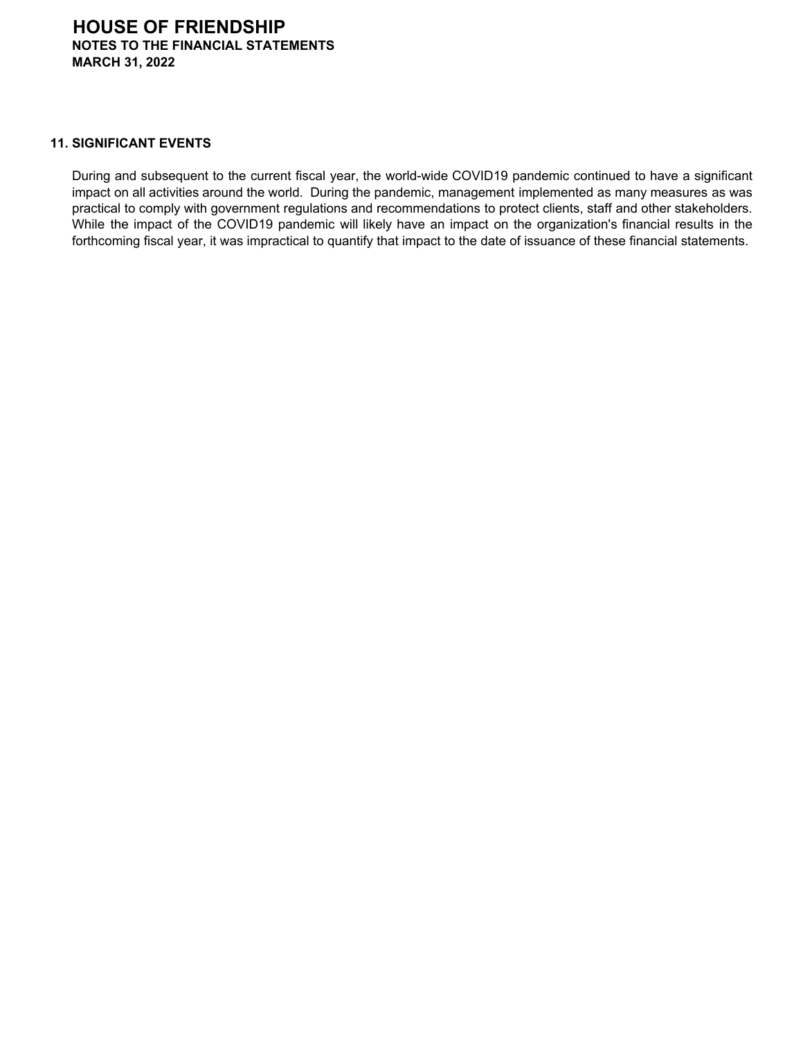## **11. SIGNIFICANT EVENTS**

During and subsequent to the current fiscal year, the world-wide COVID19 pandemic continued to have a significant impact on all activities around the world. During the pandemic, management implemented as many measures as was practical to comply with government regulations and recommendations to protect clients, staff and other stakeholders. While the impact of the COVID19 pandemic will likely have an impact on the organization's financial results in the forthcoming fiscal year, it was impractical to quantify that impact to the date of issuance of these financial statements.